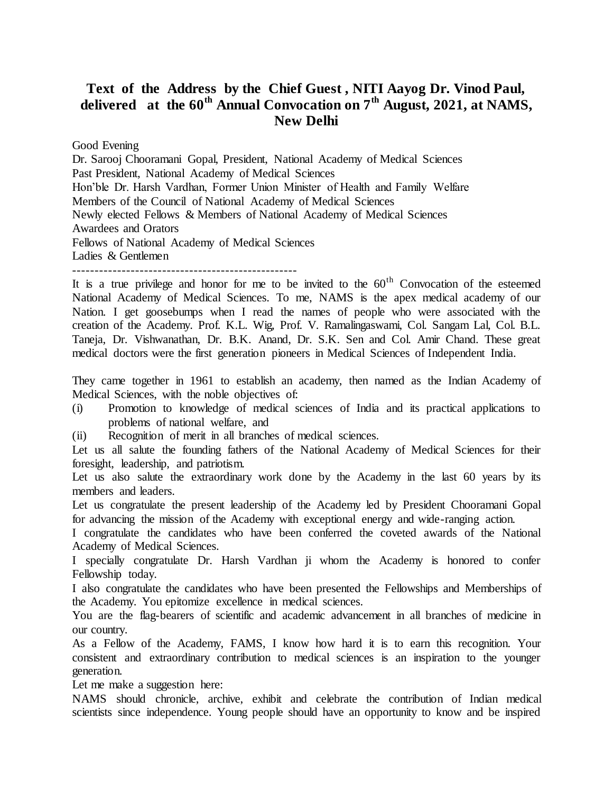## **Text of the Address by the Chief Guest , NITI Aayog Dr. Vinod Paul, delivered at the 60th Annual Convocation on 7th August, 2021, at NAMS, New Delhi**

Good Evening

Dr. Sarooj Chooramani Gopal, President, National Academy of Medical Sciences Past President, National Academy of Medical Sciences Hon'ble Dr. Harsh Vardhan, Former Union Minister of Health and Family Welfare Members of the Council of National Academy of Medical Sciences Newly elected Fellows & Members of National Academy of Medical Sciences Awardees and Orators Fellows of National Academy of Medical Sciences Ladies & Gentlemen

--------------------------------------------------

It is a true privilege and honor for me to be invited to the  $60<sup>th</sup>$  Convocation of the esteemed National Academy of Medical Sciences. To me, NAMS is the apex medical academy of our Nation. I get goosebumps when I read the names of people who were associated with the creation of the Academy. Prof. K.L. Wig, Prof. V. Ramalingaswami, Col. Sangam Lal, Col. B.L. Taneja, Dr. Vishwanathan, Dr. B.K. Anand, Dr. S.K. Sen and Col. Amir Chand. These great medical doctors were the first generation pioneers in Medical Sciences of Independent India.

They came together in 1961 to establish an academy, then named as the Indian Academy of Medical Sciences, with the noble objectives of:

- (i) Promotion to knowledge of medical sciences of India and its practical applications to problems of national welfare, and
- (ii) Recognition of merit in all branches of medical sciences.

Let us all salute the founding fathers of the National Academy of Medical Sciences for their foresight, leadership, and patriotism.

Let us also salute the extraordinary work done by the Academy in the last 60 years by its members and leaders.

Let us congratulate the present leadership of the Academy led by President Chooramani Gopal for advancing the mission of the Academy with exceptional energy and wide-ranging action.

I congratulate the candidates who have been conferred the coveted awards of the National Academy of Medical Sciences.

I specially congratulate Dr. Harsh Vardhan ji whom the Academy is honored to confer Fellowship today.

I also congratulate the candidates who have been presented the Fellowships and Memberships of the Academy. You epitomize excellence in medical sciences.

You are the flag-bearers of scientific and academic advancement in all branches of medicine in our country.

As a Fellow of the Academy, FAMS, I know how hard it is to earn this recognition. Your consistent and extraordinary contribution to medical sciences is an inspiration to the younger generation.

Let me make a suggestion here:

NAMS should chronicle, archive, exhibit and celebrate the contribution of Indian medical scientists since independence. Young people should have an opportunity to know and be inspired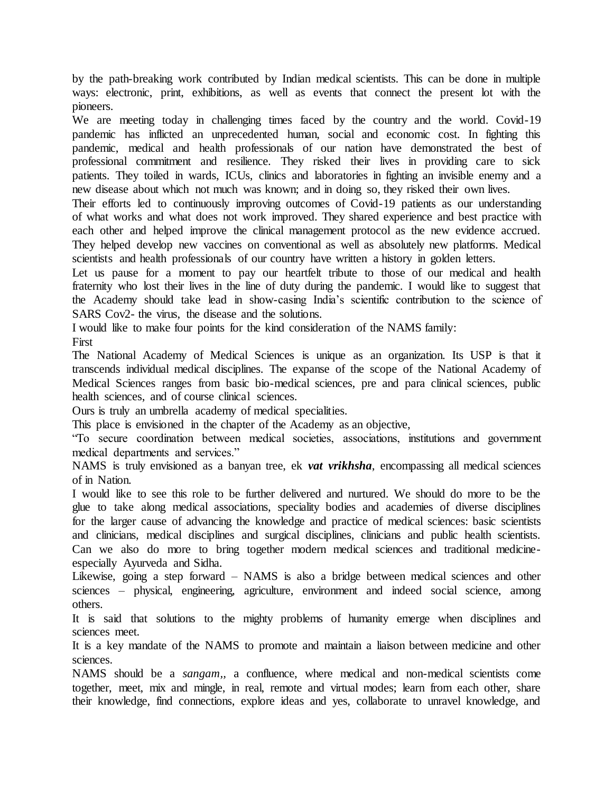by the path-breaking work contributed by Indian medical scientists. This can be done in multiple ways: electronic, print, exhibitions, as well as events that connect the present lot with the pioneers.

We are meeting today in challenging times faced by the country and the world. Covid-19 pandemic has inflicted an unprecedented human, social and economic cost. In fighting this pandemic, medical and health professionals of our nation have demonstrated the best of professional commitment and resilience. They risked their lives in providing care to sick patients. They toiled in wards, ICUs, clinics and laboratories in fighting an invisible enemy and a new disease about which not much was known; and in doing so, they risked their own lives.

Their efforts led to continuously improving outcomes of Covid-19 patients as our understanding of what works and what does not work improved. They shared experience and best practice with each other and helped improve the clinical management protocol as the new evidence accrued. They helped develop new vaccines on conventional as well as absolutely new platforms. Medical scientists and health professionals of our country have written a history in golden letters.

Let us pause for a moment to pay our heartfelt tribute to those of our medical and health fraternity who lost their lives in the line of duty during the pandemic. I would like to suggest that the Academy should take lead in show-casing India's scientific contribution to the science of SARS Cov2- the virus, the disease and the solutions.

I would like to make four points for the kind consideration of the NAMS family:

First

The National Academy of Medical Sciences is unique as an organization. Its USP is that it transcends individual medical disciplines. The expanse of the scope of the National Academy of Medical Sciences ranges from basic bio-medical sciences, pre and para clinical sciences, public health sciences, and of course clinical sciences.

Ours is truly an umbrella academy of medical specialities.

This place is envisioned in the chapter of the Academy as an objective,

"To secure coordination between medical societies, associations, institutions and government medical departments and services."

NAMS is truly envisioned as a banyan tree, ek *vat vrikhsha*, encompassing all medical sciences of in Nation.

I would like to see this role to be further delivered and nurtured. We should do more to be the glue to take along medical associations, speciality bodies and academies of diverse disciplines for the larger cause of advancing the knowledge and practice of medical sciences: basic scientists and clinicians, medical disciplines and surgical disciplines, clinicians and public health scientists. Can we also do more to bring together modern medical sciences and traditional medicineespecially Ayurveda and Sidha.

Likewise, going a step forward – NAMS is also a bridge between medical sciences and other sciences – physical, engineering, agriculture, environment and indeed social science, among others.

It is said that solutions to the mighty problems of humanity emerge when disciplines and sciences meet.

It is a key mandate of the NAMS to promote and maintain a liaison between medicine and other sciences.

NAMS should be a *sangam,,* a confluence, where medical and non-medical scientists come together, meet, mix and mingle, in real, remote and virtual modes; learn from each other, share their knowledge, find connections, explore ideas and yes, collaborate to unravel knowledge, and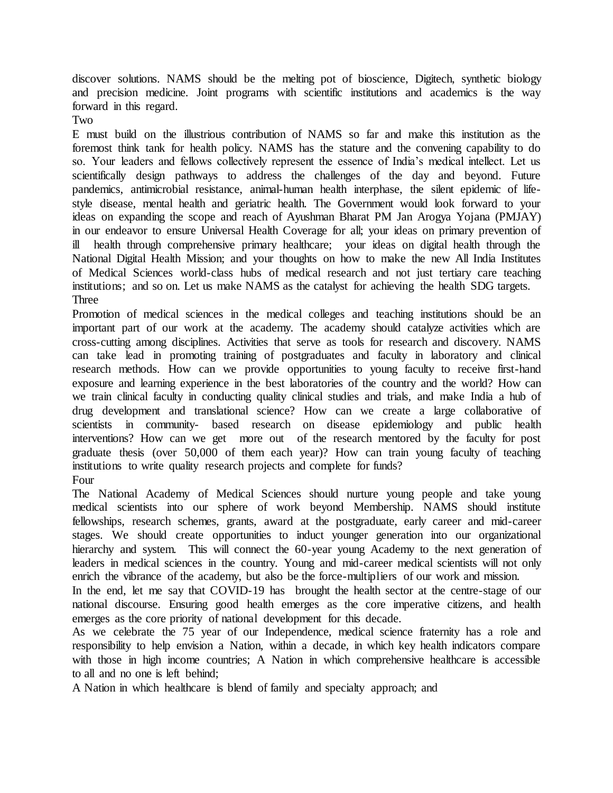discover solutions. NAMS should be the melting pot of bioscience, Digitech, synthetic biology and precision medicine. Joint programs with scientific institutions and academics is the way forward in this regard.

Two

E must build on the illustrious contribution of NAMS so far and make this institution as the foremost think tank for health policy. NAMS has the stature and the convening capability to do so. Your leaders and fellows collectively represent the essence of India's medical intellect. Let us scientifically design pathways to address the challenges of the day and beyond. Future pandemics, antimicrobial resistance, animal-human health interphase, the silent epidemic of lifestyle disease, mental health and geriatric health. The Government would look forward to your ideas on expanding the scope and reach of Ayushman Bharat PM Jan Arogya Yojana (PMJAY) in our endeavor to ensure Universal Health Coverage for all; your ideas on primary prevention of ill health through comprehensive primary healthcare; your ideas on digital health through the National Digital Health Mission; and your thoughts on how to make the new All India Institutes of Medical Sciences world-class hubs of medical research and not just tertiary care teaching institutions; and so on. Let us make NAMS as the catalyst for achieving the health SDG targets. **Three** 

Promotion of medical sciences in the medical colleges and teaching institutions should be an important part of our work at the academy. The academy should catalyze activities which are cross-cutting among disciplines. Activities that serve as tools for research and discovery. NAMS can take lead in promoting training of postgraduates and faculty in laboratory and clinical research methods. How can we provide opportunities to young faculty to receive first-hand exposure and learning experience in the best laboratories of the country and the world? How can we train clinical faculty in conducting quality clinical studies and trials, and make India a hub of drug development and translational science? How can we create a large collaborative of scientists in community- based research on disease epidemiology and public health interventions? How can we get more out of the research mentored by the faculty for post graduate thesis (over 50,000 of them each year)? How can train young faculty of teaching institutions to write quality research projects and complete for funds? Four

The National Academy of Medical Sciences should nurture young people and take young medical scientists into our sphere of work beyond Membership. NAMS should institute fellowships, research schemes, grants, award at the postgraduate, early career and mid-career stages. We should create opportunities to induct younger generation into our organizational hierarchy and system. This will connect the 60-year young Academy to the next generation of leaders in medical sciences in the country. Young and mid-career medical scientists will not only enrich the vibrance of the academy, but also be the force-multipliers of our work and mission.

In the end, let me say that COVID-19 has brought the health sector at the centre-stage of our national discourse. Ensuring good health emerges as the core imperative citizens, and health emerges as the core priority of national development for this decade.

As we celebrate the 75 year of our Independence, medical science fraternity has a role and responsibility to help envision a Nation, within a decade, in which key health indicators compare with those in high income countries; A Nation in which comprehensive healthcare is accessible to all and no one is left behind;

A Nation in which healthcare is blend of family and specialty approach; and